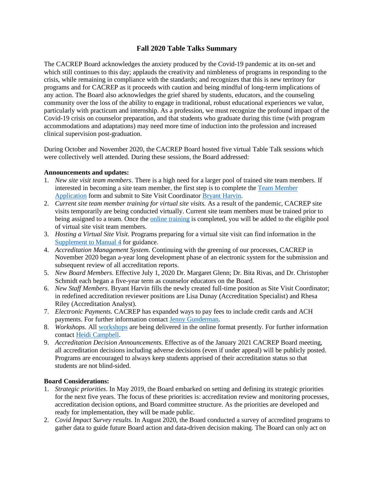# **Fall 2020 Table Talks Summary**

The CACREP Board acknowledges the anxiety produced by the Covid-19 pandemic at its on-set and which still continues to this day; applauds the creativity and nimbleness of programs in responding to the crisis, while remaining in compliance with the standards; and recognizes that this is new territory for programs and for CACREP as it proceeds with caution and being mindful of long-term implications of any action. The Board also acknowledges the grief shared by students, educators, and the counseling community over the loss of the ability to engage in traditional, robust educational experiences we value, particularly with practicum and internship. As a profession, we must recognize the profound impact of the Covid-19 crisis on counselor preparation, and that students who graduate during this time (with program accommodations and adaptations) may need more time of induction into the profession and increased clinical supervision post-graduation.

During October and November 2020, the CACREP Board hosted five virtual Table Talk sessions which were collectively well attended. During these sessions, the Board addressed:

## **Announcements and updates:**

- 1. *New site visit team members*. There is a high need for a larger pool of trained site team members. If interested in becoming a site team member, the first step is to complete the [Team Member](http://www.cacrep.org/wp-content/uploads/2019/07/CACREP-Site-Visit-Team-Member-Application-rev.-7.31.19.docx)  [Application](http://www.cacrep.org/wp-content/uploads/2019/07/CACREP-Site-Visit-Team-Member-Application-rev.-7.31.19.docx) form and submit to Site Visit Coordinator [Bryant Harvin.](mailto:bharvin@cacrep.org)
- 2. *Current site team member training for virtual site visits.* As a result of the pandemic, CACREP site visits temporarily are being conducted virtually. Current site team members must be trained prior to being assigned to a team. Once the [online training](https://www.youtube.com/watch?v=8OG56XhX1_M&feature=youtu.be) is completed, you will be added to the eligible pool of virtual site visit team members.
- 3. *Hosting a Virtual Site Visit.* Programs preparing for a virtual site visit can find information in the [Supplement to Manual 4](https://www.cacrep.org/wp-content/uploads/2020/05/VSV_Supplement_to_MM4.pdf) for guidance.
- 4. *Accreditation Management System.* Continuing with the greening of our processes, CACREP in November 2020 began a-year long development phase of an electronic system for the submission and subsequent review of all accreditation reports.
- 5. *New Board Members.* Effective July 1, 2020 Dr. Margaret Glenn; Dr. Bita Rivas, and Dr. Christopher Schmidt each began a five-year term as counselor educators on the Board.
- 6. *New Staff Members.* Bryant Harvin fills the newly created full-time position as Site Visit Coordinator; in redefined accreditation reviewer positions are Lisa Dunay (Accreditation Specialist) and Rhesa Riley (Accreditation Analyst).
- 7. *Electronic Payments.* CACREP has expanded ways to pay fees to include credit cards and ACH payments. For further information contac[t Jenny Gunderman.](mailto:jgunderman@cacrep.org)
- 8. *Workshops.* All [workshops](https://www.cacrep.org/events/?c=workshops) are being delivered in the online format presently. For further information contact [Heidi Campbell.](mailto:hcampbell@cacrep.org)
- 9. *Accreditation Decision Announcements.* Effective as of the January 2021 CACREP Board meeting, all accreditation decisions including adverse decisions (even if under appeal) will be publicly posted. Programs are encouraged to always keep students apprised of their accreditation status so that students are not blind-sided.

## **Board Considerations:**

- 1. *Strategic priorities*. In May 2019, the Board embarked on setting and defining its strategic priorities for the next five years. The focus of these priorities is: accreditation review and monitoring processes, accreditation decision options, and Board committee structure. As the priorities are developed and ready for implementation, they will be made public.
- 2. *Covid Impact Survey results*. In August 2020, the Board conducted a survey of accredited programs to gather data to guide future Board action and data-driven decision making. The Board can only act on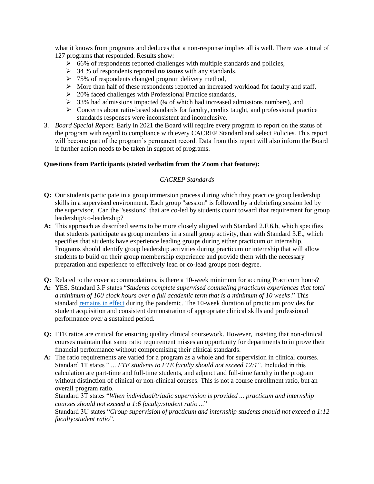what it knows from programs and deduces that a non-response implies all is well. There was a total of 127 programs that responded. Results show:

- $\geq 66\%$  of respondents reported challenges with multiple standards and policies,
- ➢ 34 % of respondents reported *no issues* with any standards,
- $\geq 75\%$  of respondents changed program delivery method,
- ➢ More than half of these respondents reported an increased workload for faculty and staff,
- ➢ 20% faced challenges with Professional Practice standards,
- $\geq$  33% had admissions impacted (¼ of which had increased admissions numbers), and
- $\triangleright$  Concerns about ratio-based standards for faculty, credits taught, and professional practice standards responses were inconsistent and inconclusive.
- 3. *Board Special Report.* Early in 2021 the Board will require every program to report on the status of the program with regard to compliance with every CACREP Standard and select Policies. This report will become part of the program's permanent record. Data from this report will also inform the Board if further action needs to be taken in support of programs.

# **Questions from Participants (stated verbatim from the Zoom chat feature):**

# *CACREP Standards*

- **Q:** Our students participate in a group immersion process during which they practice group leadership skills in a supervised environment. Each group "session" is followed by a debriefing session led by the supervisor. Can the "sessions" that are co-led by students count toward that requirement for group leadership/co-leadership?
- **A:** This approach as described seems to be more closely aligned with Standard 2.F.6.h, which specifies that students participate as group members in a small group activity, than with Standard 3.E., which specifies that students have experience leading groups during either practicum or internship. Programs should identify group leadership activities during practicum or internship that will allow students to build on their group membership experience and provide them with the necessary preparation and experience to effectively lead or co-lead groups post-degree.
- **Q:** Related to the cover accommodations, is there a 10-week minimum for accruing Practicum hours?
- **A:** YES. Standard 3.F states "*Students complete supervised counseling practicum experiences that total a minimum of 100 clock hours over a full academic term that is a minimum of 10 weeks*." This standard [remains in effect](https://www.cacrep.org/for-programs/updates-on-covid-19/#programfaq) during the pandemic. The 10-week duration of practicum provides for student acquisition and consistent demonstration of appropriate clinical skills and professional performance over a sustained period.
- **Q:** FTE ratios are critical for ensuring quality clinical coursework. However, insisting that non-clinical courses maintain that same ratio requirement misses an opportunity for departments to improve their financial performance without compromising their clinical standards.
- **A:** The ratio requirements are varied for a program as a whole and for supervision in clinical courses. Standard 1T states " ... *FTE students to FTE faculty should not exceed 12:1*". Included in this calculation are part-time and full-time students, and adjunct and full-time faculty in the program without distinction of clinical or non-clinical courses. This is not a course enrollment ratio, but an overall program ratio.

Standard 3T states "*When individual/triadic supervision is provided ... practicum and internship courses should not exceed a 1:6 faculty:student ratio ...*"

Standard 3U states "*Group supervision of practicum and internship students should not exceed a 1:12 faculty:student ratio*".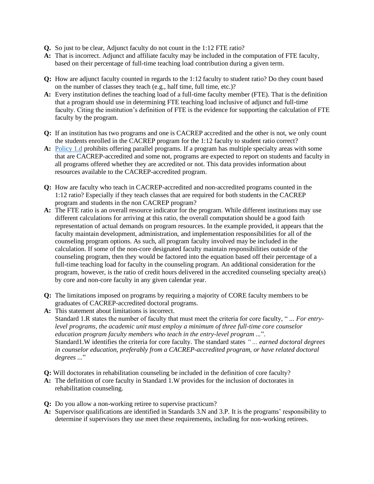- **Q.** So just to be clear, Adjunct faculty do not count in the 1:12 FTE ratio?
- **A:** That is incorrect. Adjunct and affiliate faculty may be included in the computation of FTE faculty, based on their percentage of full-time teaching load contribution during a given term.
- **Q:** How are adjunct faculty counted in regards to the 1:12 faculty to student ratio? Do they count based on the number of classes they teach (e.g., half time, full time, etc.)?
- **A:** Every institution defines the teaching load of a full-time faculty member (FTE). That is the definition that a program should use in determining FTE teaching load inclusive of adjunct and full-time faculty. Citing the institution's definition of FTE is the evidence for supporting the calculation of FTE faculty by the program.
- **Q:** If an institution has two programs and one is CACREP accredited and the other is not, we only count the students enrolled in the CACREP program for the 1:12 faculty to student ratio correct?
- **A:** [Policy 1.d](https://www.cacrep.org/for-programs/cacrep-policy-document/#policy1.d) prohibits offering parallel programs. If a program has multiple specialty areas with some that are CACREP-accredited and some not, programs are expected to report on students and faculty in all programs offered whether they are accredited or not. This data provides information about resources available to the CACREP-accredited program.
- **Q:** How are faculty who teach in CACREP-accredited and non-accredited programs counted in the 1:12 ratio? Especially if they teach classes that are required for both students in the CACREP program and students in the non CACREP program?
- **A:** The FTE ratio is an overall resource indicator for the program. While different institutions may use different calculations for arriving at this ratio, the overall computation should be a good faith representation of actual demands on program resources. In the example provided, it appears that the faculty maintain development, administration, and implementation responsibilities for all of the counseling program options. As such, all program faculty involved may be included in the calculation. If some of the non-core designated faculty maintain responsibilities outside of the counseling program, then they would be factored into the equation based off their percentage of a full-time teaching load for faculty in the counseling program. An additional consideration for the program, however, is the ratio of credit hours delivered in the accredited counseling specialty area(s) by core and non-core faculty in any given calendar year.
- **Q:** The limitations imposed on programs by requiring a majority of CORE faculty members to be graduates of CACREP-accredited doctoral programs.
- **A:** This statement about limitations is incorrect. Standard 1.R states the number of faculty that must meet the criteria for core faculty, " *... For entrylevel programs, the academic unit must employ a minimum of three full-time core counselor education program faculty members who teach in the entry-level program ...*". Standard1.W identifies the criteria for core faculty. The standard states *" ... earned doctoral degrees in counselor education, preferably from a CACREP-accredited program, or have related doctoral degrees ...*"
- **Q:** Will doctorates in rehabilitation counseling be included in the definition of core faculty?
- **A:** The definition of core faculty in Standard 1.W provides for the inclusion of doctorates in rehabilitation counseling.
- **Q:** Do you allow a non-working retiree to supervise practicum?
- **A:** Supervisor qualifications are identified in Standards 3.N and 3.P. It is the programs' responsibility to determine if supervisors they use meet these requirements, including for non-working retirees.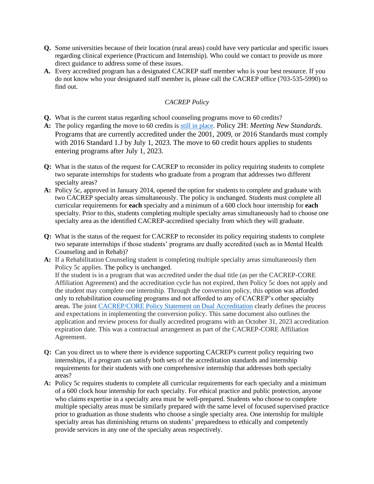- **Q.** Some universities because of their location (rural areas) could have very particular and specific issues regarding clinical experience (Practicum and Internship). Who could we contact to provide us more direct guidance to address some of these issues.
- **A.** Every accredited program has a designated CACREP staff member who is your best resource. If you do not know who your designated staff member is, please call the CACREP office (703-535-5990) to find out.

# *CACREP Policy*

- **Q.** What is the current status regarding school counseling programs move to 60 credits?
- **A:** The policy regarding the move to 60 credits is [still in place.](http://cacrepdev.wpengine.com/wp-content/uploads/2018/02/CACREP-Special-Announcement-48-to-60.pdf) Policy 2H: *Meeting New Standards*. Programs that are currently accredited under the 2001, 2009, or 2016 Standards must comply with 2016 Standard 1.J by July 1, 2023. The move to 60 credit hours applies to students entering programs after July 1, 2023.
- **Q:** What is the status of the request for CACREP to reconsider its policy requiring students to complete two separate internships for students who graduate from a program that addresses two different specialty areas?
- **A:** Policy 5c, approved in January 2014, opened the option for students to complete and graduate with two CACREP specialty areas simultaneously. The policy is unchanged. Students must complete all curricular requirements for **each** specialty and a minimum of a 600 clock hour internship for **each** specialty. Prior to this, students completing multiple specialty areas simultaneously had to choose one specialty area as the identified CACREP-accredited specialty from which they will graduate.
- **Q:** What is the status of the request for CACREP to reconsider its policy requiring students to complete two separate internships if those students' programs are dually accredited (such as in Mental Health Counseling and in Rehab)?
- **A:** If a Rehabilitation Counseling student is completing multiple specialty areas simultaneously then Policy 5c applies. The policy is unchanged. If the student is in a program that was accredited under the dual title (as per the CACREP-CORE Affiliation Agreement) and the accreditation cycle has not expired, then Policy 5c does not apply and the student may complete one internship. Through the conversion policy, this option was afforded only to rehabilitation counseling programs and not afforded to any of CACREP's other specialty areas. The joint [CACREP/CORE Policy Statement on Dual Accreditation](http://cacrepdev.wpengine.com/wp-content/uploads/2017/05/Dual-Accreditation-Policy-Document-4.29.16.pdf) clearly defines the process and expectations in implementing the conversion policy. This same document also outlines the application and review process for dually accredited programs with an October 31, 2023 accreditation expiration date. This was a contractual arrangement as part of the CACREP-CORE Affiliation Agreement.
- **Q:** Can you direct us to where there is evidence supporting CACREP's current policy requiring two internships, if a program can satisfy both sets of the accreditation standards and internship requirements for their students with one comprehensive internship that addresses both specialty areas?
- **A:** Policy 5c requires students to complete all curricular requirements for each specialty and a minimum of a 600 clock hour internship for each specialty. For ethical practice and public protection, anyone who claims expertise in a specialty area must be well-prepared. Students who choose to complete multiple specialty areas must be similarly prepared with the same level of focused supervised practice prior to graduation as those students who choose a single specialty area. One internship for multiple specialty areas has diminishing returns on students' preparedness to ethically and competently provide services in any one of the specialty areas respectively.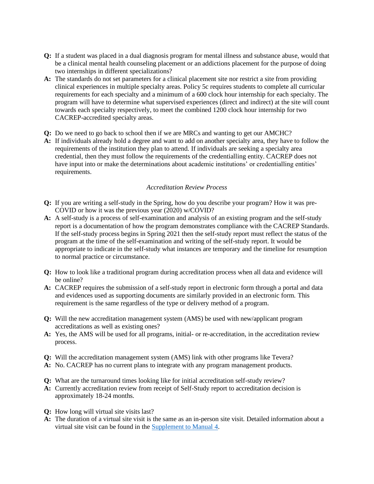- **Q:** If a student was placed in a dual diagnosis program for mental illness and substance abuse, would that be a clinical mental health counseling placement or an addictions placement for the purpose of doing two internships in different specializations?
- A: The standards do not set parameters for a clinical placement site nor restrict a site from providing clinical experiences in multiple specialty areas. Policy 5c requires students to complete all curricular requirements for each specialty and a minimum of a 600 clock hour internship for each specialty. The program will have to determine what supervised experiences (direct and indirect) at the site will count towards each specialty respectively, to meet the combined 1200 clock hour internship for two CACREP-accredited specialty areas.
- **Q:** Do we need to go back to school then if we are MRCs and wanting to get our AMCHC?
- **A:** If individuals already hold a degree and want to add on another specialty area, they have to follow the requirements of the institution they plan to attend. If individuals are seeking a specialty area credential, then they must follow the requirements of the credentialling entity. CACREP does not have input into or make the determinations about academic institutions' or credentialling entities' requirements.

## *Accreditation Review Process*

- **Q:** If you are writing a self-study in the Spring, how do you describe your program? How it was pre-COVID or how it was the previous year (2020) w/COVID?
- **A:** A self-study is a process of self-examination and analysis of an existing program and the self-study report is a documentation of how the program demonstrates compliance with the CACREP Standards. If the self-study process begins in Spring 2021 then the self-study report must reflect the status of the program at the time of the self-examination and writing of the self-study report. It would be appropriate to indicate in the self-study what instances are temporary and the timeline for resumption to normal practice or circumstance.
- **Q:** How to look like a traditional program during accreditation process when all data and evidence will be online?
- **A:** CACREP requires the submission of a self-study report in electronic form through a portal and data and evidences used as supporting documents are similarly provided in an electronic form. This requirement is the same regardless of the type or delivery method of a program.
- **Q:** Will the new accreditation management system (AMS) be used with new/applicant program accreditations as well as existing ones?
- **A:** Yes, the AMS will be used for all programs, initial- or re-accreditation, in the accreditation review process.
- **Q:** Will the accreditation management system (AMS) link with other programs like Tevera?
- **A:** No. CACREP has no current plans to integrate with any program management products.
- **Q:** What are the turnaround times looking like for initial accreditation self-study review?
- **A:** Currently accreditation review from receipt of Self-Study report to accreditation decision is approximately 18-24 months.
- **Q:** How long will virtual site visits last?
- **A:** The duration of a virtual site visit is the same as an in-person site visit. Detailed information about a virtual site visit can be found in the [Supplement to Manual 4.](https://www.cacrep.org/wp-content/uploads/2020/05/VSV_Supplement_to_MM4.pdf)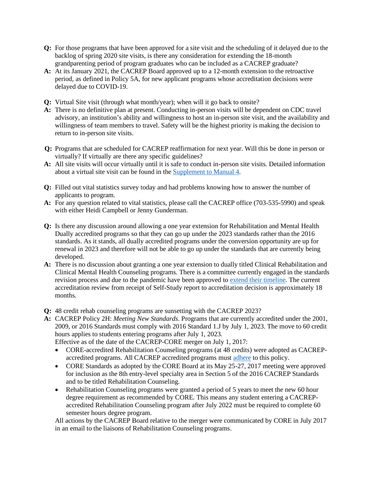- **Q:** For those programs that have been approved for a site visit and the scheduling of it delayed due to the backlog of spring 2020 site visits, is there any consideration for extending the 18-month grandparenting period of program graduates who can be included as a CACREP graduate?
- **A:** At its January 2021, the CACREP Board approved up to a 12-month extension to the retroactive period, as defined in Policy 5A, for new applicant programs whose accreditation decisions were delayed due to COVID-19.
- **Q:** Virtual Site visit (through what month/year); when will it go back to onsite?
- **A:** There is no definitive plan at present. Conducting in-person visits will be dependent on CDC travel advisory, an institution's ability and willingness to host an in-person site visit, and the availability and willingness of team members to travel. Safety will be the highest priority is making the decision to return to in-person site visits.
- **Q:** Programs that are scheduled for CACREP reaffirmation for next year. Will this be done in person or virtually? If virtually are there any specific guidelines?
- **A:** All site visits will occur virtually until it is safe to conduct in-person site visits. Detailed information about a virtual site visit can be found in the [Supplement to Manual 4.](https://www.cacrep.org/wp-content/uploads/2020/05/VSV_Supplement_to_MM4.pdf)
- **Q:** Filled out vital statistics survey today and had problems knowing how to answer the number of applicants to program.
- **A:** For any question related to vital statistics, please call the CACREP office (703-535-5990) and speak with either Heidi Campbell or Jenny Gunderman.
- **Q:** Is there any discussion around allowing a one year extension for Rehabilitation and Mental Health Dually accredited programs so that they can go up under the 2023 standards rather than the 2016 standards. As it stands, all dually accredited programs under the conversion opportunity are up for renewal in 2023 and therefore will not be able to go up under the standards that are currently being developed.
- **A:** There is no discussion about granting a one year extension to dually titled Clinical Rehabilitation and Clinical Mental Health Counseling programs. There is a committee currently engaged in the standards revision process and due to the pandemic have been approved to [extend their timeline.](https://www.cacrep.org/wp-content/uploads/2020/07/Summer-2020-Update.pdf) The current accreditation review from receipt of Self-Study report to accreditation decision is approximately 18 months.
- **Q:** 48 credit rehab counseling programs are sunsetting with the CACREP 2023?
- **A:** CACREP Policy 2H: *Meeting New Standards*. Programs that are currently accredited under the 2001, 2009, or 2016 Standards must comply with 2016 Standard 1.J by July 1, 2023. The move to 60 credit hours applies to students entering programs after July 1, 2023. Effective as of the date of the CACREP-CORE merger on July 1, 2017:
	- CORE-accredited Rehabilitation Counseling programs (at 48 credits) were adopted as CACREP-
	- accredited programs. All CACREP accredited programs mus[t adhere](http://cacrepdev.wpengine.com/wp-content/uploads/2018/02/CACREP-Special-Announcement-48-to-60.pdf) to this policy.
	- CORE Standards as adopted by the CORE Board at its May 25-27, 2017 meeting were approved for inclusion as the 8th entry-level specialty area in Section 5 of the 2016 CACREP Standards and to be titled Rehabilitation Counseling.
	- Rehabilitation Counseling programs were granted a period of 5 years to meet the new 60 hour degree requirement as recommended by CORE. This means any student entering a CACREPaccredited Rehabilitation Counseling program after July 2022 must be required to complete 60 semester hours degree program.

All actions by the CACREP Board relative to the merger were communicated by CORE in July 2017 in an email to the liaisons of Rehabilitation Counseling programs.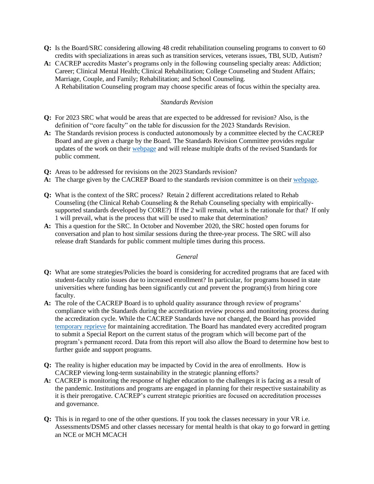- **Q:** Is the Board/SRC considering allowing 48 credit rehabilitation counseling programs to convert to 60 credits with specializations in areas such as transition services, veterans issues, TBI, SUD, Autism?
- **A:** CACREP accredits Master's programs only in the following counseling specialty areas: Addiction; Career; Clinical Mental Health; Clinical Rehabilitation; College Counseling and Student Affairs; Marriage, Couple, and Family; Rehabilitation; and School Counseling. A Rehabilitation Counseling program may choose specific areas of focus within the specialty area.

## *Standards Revision*

- **Q:** For 2023 SRC what would be areas that are expected to be addressed for revision? Also, is the definition of "core faculty" on the table for discussion for the 2023 Standards Revision.
- **A:** The Standards revision process is conducted autonomously by a committee elected by the CACREP Board and are given a charge by the Board. The Standards Revision Committee provides regular updates of the work on their [webpage](https://www.cacrep.org/SRC-2023/) and will release multiple drafts of the revised Standards for public comment.
- **Q:** Areas to be addressed for revisions on the 2023 Standards revision?
- **A:** The charge given by the CACREP Board to the standards revision committee is on their [webpage.](https://www.cacrep.org/SRC-2023/)
- **Q:** What is the context of the SRC process? Retain 2 different accreditations related to Rehab Counseling (the Clinical Rehab Counseling & the Rehab Counseling specialty with empiricallysupported standards developed by CORE?) If the 2 will remain, what is the rationale for that? If only 1 will prevail, what is the process that will be used to make that determination?
- **A:** This a question for the SRC. In October and November 2020, the SRC hosted open forums for conversation and plan to host similar sessions during the three-year process. The SRC will also release draft Standards for public comment multiple times during this process.

#### *General*

- **Q:** What are some strategies/Policies the board is considering for accredited programs that are faced with student-faculty ratio issues due to increased enrollment? In particular, for programs housed in state universities where funding has been significantly cut and prevent the program(s) from hiring core faculty.
- **A:** The role of the CACREP Board is to uphold quality assurance through review of programs' compliance with the Standards during the accreditation review process and monitoring process during the accreditation cycle. While the CACREP Standards have not changed, the Board has provided [temporary reprieve](https://www.cacrep.org/news/cacrep-statement-on-covid-19/) for maintaining accreditation. The Board has mandated every accredited program to submit a Special Report on the current status of the program which will become part of the program's permanent record. Data from this report will also allow the Board to determine how best to further guide and support programs.
- **Q:** The reality is higher education may be impacted by Covid in the area of enrollments. How is CACREP viewing long-term sustainability in the strategic planning efforts?
- **A:** CACREP is monitoring the response of higher education to the challenges it is facing as a result of the pandemic. Institutions and programs are engaged in planning for their respective sustainability as it is their prerogative. CACREP's current strategic priorities are focused on accreditation processes and governance.
- **Q:** This is in regard to one of the other questions. If you took the classes necessary in your VR i.e. Assessments/DSM5 and other classes necessary for mental health is that okay to go forward in getting an NCE or MCH MCACH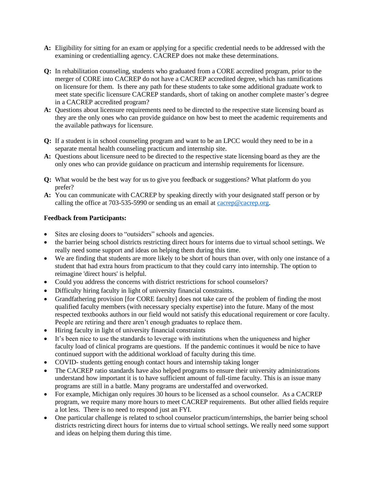- **A:** Eligibility for sitting for an exam or applying for a specific credential needs to be addressed with the examining or credentialling agency. CACREP does not make these determinations.
- **Q:** In rehabilitation counseling, students who graduated from a CORE accredited program, prior to the merger of CORE into CACREP do not have a CACREP accredited degree, which has ramifications on licensure for them. Is there any path for these students to take some additional graduate work to meet state specific licensure CACREP standards, short of taking on another complete master's degree in a CACREP accredited program?
- **A:** Questions about licensure requirements need to be directed to the respective state licensing board as they are the only ones who can provide guidance on how best to meet the academic requirements and the available pathways for licensure.
- **Q:** If a student is in school counseling program and want to be an LPCC would they need to be in a separate mental health counseling practicum and internship site.
- **A:** Questions about licensure need to be directed to the respective state licensing board as they are the only ones who can provide guidance on practicum and internship requirements for licensure.
- **Q:** What would be the best way for us to give you feedback or suggestions? What platform do you prefer?
- **A:** You can communicate with CACREP by speaking directly with your designated staff person or by calling the office at 703-535-5990 or sending us an email at [cacrep@cacrep.org.](mailto:cacrep@cacrep.org)

# **Feedback from Participants:**

- Sites are closing doors to "outsiders" schools and agencies.
- the barrier being school districts restricting direct hours for interns due to virtual school settings. We really need some support and ideas on helping them during this time.
- We are finding that students are more likely to be short of hours than over, with only one instance of a student that had extra hours from practicum to that they could carry into internship. The option to reimagine 'direct hours' is helpful.
- Could you address the concerns with district restrictions for school counselors?
- Difficulty hiring faculty in light of university financial constraints.
- Grandfathering provision [for CORE faculty] does not take care of the problem of finding the most qualified faculty members (with necessary specialty expertise) into the future. Many of the most respected textbooks authors in our field would not satisfy this educational requirement or core faculty. People are retiring and there aren't enough graduates to replace them.
- Hiring faculty in light of university financial constraints
- It's been nice to use the standards to leverage with institutions when the uniqueness and higher faculty load of clinical programs are questions. If the pandemic continues it would be nice to have continued support with the additional workload of faculty during this time.
- COVID- students getting enough contact hours and internship taking longer
- The CACREP ratio standards have also helped programs to ensure their university administrations understand how important it is to have sufficient amount of full-time faculty. This is an issue many programs are still in a battle. Many programs are understaffed and overworked.
- For example, Michigan only requires 30 hours to be licensed as a school counselor. As a CACREP program, we require many more hours to meet CACREP requirements. But other allied fields require a lot less. There is no need to respond just an FYI.
- One particular challenge is related to school counselor practicum/internships, the barrier being school districts restricting direct hours for interns due to virtual school settings. We really need some support and ideas on helping them during this time.